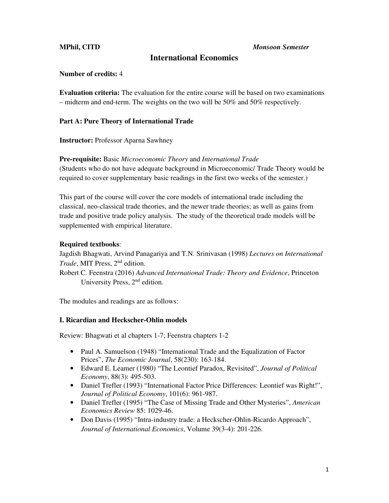**MPhil, CITD** *Monsoon Semester* 

# **International Economics**

## **Number of credits:** 4

**Evaluation criteria:** The evaluation for the entire course will be based on two examinations – midterm and end-term. The weights on the two will be 50% and 50% respectively.

## **Part A: Pure Theory of International Trade**

**Instructor:** Professor Aparna Sawhney

## **Pre-requisite:** Basic *Microeconomic Theory* and *International Trade*

(Students who do not have adequate background in Microeconomic/ Trade Theory would be required to cover supplementary basic readings in the first two weeks of the semester.)

This part of the course will cover the core models of international trade including the classical, neo-classical trade theories, and the newer trade theories; as well as gains from trade and positive trade policy analysis. The study of the theoretical trade models will be supplemented with empirical literature.

## **Required textbooks**:

Jagdish Bhagwati, Arvind Panagariya and T.N. Srinivasan (1998) *Lectures on International Trade*, MIT Press, 2nd edition.

Robert C. Feenstra (2016) *Advanced International Trade: Theory and Evidence*, Princeton University Press, 2<sup>nd</sup> edition.

The modules and readings are as follows:

### **I. Ricardian and Heckscher-Ohlin models**

Review: Bhagwati et al chapters 1-7; Feenstra chapters 1-2

- Paul A. Samuelson (1948) "International Trade and the Equalization of Factor Prices", *The Economic Journal*, 58(230): 163-184.
- Edward E. Leamer (1980) "The Leontief Paradox, Revisited", *Journal of Political Economy*, 88(3): 495-503.
- Daniel Trefler (1993) "International Factor Price Differences: Leontief was Right!", *Journal of Political Economy*, 101(6): 961-987.
- Daniel Trefler (1995) "The Case of Missing Trade and Other Mysteries", *American Economics Review* 85: 1029-46.
- Don Davis (1995) "Intra-industry trade: a Heckscher-Ohlin-Ricardo Approach", *Journal of International Economics*, Volume 39(3-4): 201-226.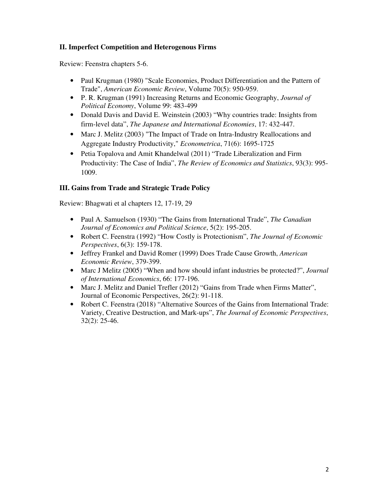# **II. Imperfect Competition and Heterogenous Firms**

Review: Feenstra chapters 5-6.

- Paul Krugman (1980) "Scale Economies, Product Differentiation and the Pattern of Trade", *American Economic Review*, Volume 70(5): 950-959.
- P. R. Krugman (1991) Increasing Returns and Economic Geography, *Journal of Political Economy*, Volume 99: 483-499
- Donald Davis and David E. Weinstein (2003) "Why countries trade: Insights from firm-level data", *The Japanese and International Economies*, 17: 432-447.
- Marc J. Melitz (2003) "The Impact of Trade on Intra-Industry Reallocations and Aggregate Industry Productivity," *Econometrica*, 71(6): 1695-1725
- Petia Topalova and Amit Khandelwal (2011) "Trade Liberalization and Firm Productivity: The Case of India", *The Review of Economics and Statistics*, 93(3): 995- 1009.

# **III. Gains from Trade and Strategic Trade Policy**

Review: Bhagwati et al chapters 12, 17-19, 29

- Paul A. Samuelson (1930) "The Gains from International Trade", *The Canadian Journal of Economics and Political Science*, 5(2): 195-205.
- Robert C. Feenstra (1992) "How Costly is Protectionism", *The Journal of Economic Perspectives*, 6(3): 159-178.
- Jeffrey Frankel and David Romer (1999) Does Trade Cause Growth, *American Economic Review*, 379-399.
- Marc J Melitz (2005) "When and how should infant industries be protected?", *Journal of International Economics*, 66: 177-196.
- Marc J. Melitz and Daniel Trefler (2012) "Gains from Trade when Firms Matter", Journal of Economic Perspectives, 26(2): 91-118.
- Robert C. Feenstra (2018) "Alternative Sources of the Gains from International Trade: Variety, Creative Destruction, and Mark-ups", *The Journal of Economic Perspectives*, 32(2): 25-46.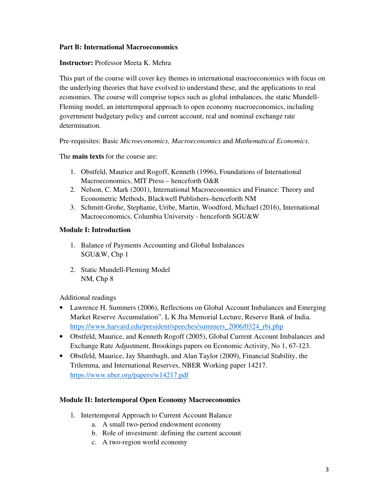## **Part B: International Macroeconomics**

## **Instructor:** Professor Meeta K. Mehra

This part of the course will cover key themes in international macroeconomics with focus on the underlying theories that have evolved to understand these, and the applications to real economies. The course will comprise topics such as global imbalances, the static Mundell-Fleming model, an intertemporal approach to open economy macroeconomics, including government budgetary policy and current account, real and nominal exchange rate determination.

Pre-requisites: Basic *Microeconomics, Macroeconomics* and *Mathematical Economics*.

The **main texts** for the course are:

- 1. Obstfeld, Maurice and Rogoff, Kenneth (1996), Foundations of International Macroeconomics, MIT Press – henceforth O&R
- 2. Nelson, C. Mark (2001), International Macroeconomics and Finance: Theory and Econometric Methods, Blackwell Publishers–henceforth NM
- 3. Schmitt-Grohe, Stephanie, Uribe, Martin, Woodford, Michael (2016), International Macroeconomics, Columbia University - henceforth SGU&W

## **Module I: Introduction**

- 1. Balance of Payments Accounting and Global Imbalances SGU&W, Chp 1
- 2. Static Mundell-Fleming Model NM, Chp 8

Additional readings

- Lawrence H. Summers (2006), Reflections on Global Account Imbalances and Emerging Market Reserve Accumulation". L K Jha Memorial Lecture, Reserve Bank of India. https://www.harvard.edu/president/speeches/summers\_2006/0324\_rbi.php
- Obstfeld, Maurice, and Kenneth Rogoff (2005), Global Current Account Imbalances and Exchange Rate Adjustment, Brookings papers on Economic Activity, No 1, 67-123.
- Obstfeld, Maurice, Jay Shambagh, and Alan Taylor (2009), Financial Stability, the Trilemma, and International Reserves, NBER Working paper 14217. https://www.nber.org/papers/w14217.pdf

### **Module II: Intertemporal Open Economy Macroeconomics**

- 1. Intertemporal Approach to Current Account Balance
	- a. A small two-period endowment economy
	- b. Role of investment: defining the current account
	- c. A two-region world economy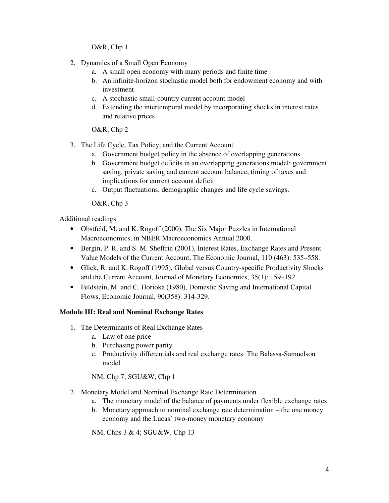O&R, Chp 1

- 2. Dynamics of a Small Open Economy
	- a. A small open economy with many periods and finite time
	- b. An infinite-horizon stochastic model both for endowment economy and with investment
	- c. A stochastic small-country current account model
	- d. Extending the intertemporal model by incorporating shocks in interest rates and relative prices

O&R, Chp 2

- 3. The Life Cycle, Tax Policy, and the Current Account
	- a. Government budget policy in the absence of overlapping generations
	- b. Government budget deficits in an overlapping generations model: government saving, private saving and current account balance; timing of taxes and implications for current account deficit
	- c. Output fluctuations, demographic changes and life cycle savings.

O&R, Chp 3

Additional readings

- Obstfeld, M. and K. Rogoff (2000), The Six Major Puzzles in International Macroeconomics, in NBER Macroeconomics Annual 2000.
- Bergin, P. R. and S. M. Sheffrin (2001), Interest Rates, Exchange Rates and Present Value Models of the Current Account, The Economic Journal, 110 (463): 535–558.
- Glick, R. and K. Rogoff (1995), Global versus Country-specific Productivity Shocks and the Current Account, Journal of Monetary Economics, 35(1): 159–192.
- Feldstein, M. and C. Horioka (1980), Domestic Saving and International Capital Flows, Economic Journal, 90(358): 314-329.

### **Module III: Real and Nominal Exchange Rates**

- 1. The Determinants of Real Exchange Rates
	- a. Law of one price
	- b. Purchasing power parity
	- c. Productivity differentials and real exchange rates: The Balassa-Samuelson model

NM, Chp 7; SGU&W, Chp 1

- 2. Monetary Model and Nominal Exchange Rate Determination
	- a. The monetary model of the balance of payments under flexible exchange rates
	- b. Monetary approach to nominal exchange rate determination the one money economy and the Lucas' two-money monetary economy

NM, Chps 3 & 4; SGU&W, Chp 13